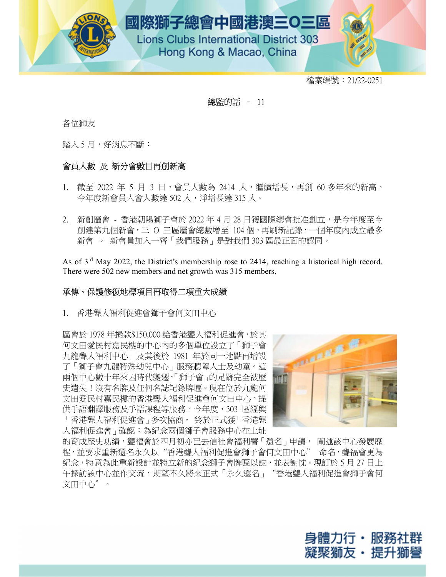

#### 總監的話 – 11

各位獅友

## 會員人數 及 新分會數目再創新高

- **络位獅友**<br>踏入5月,好消息不斷:<br>踏入5月,好消息不斷:<br>**會員人數 及 新分會數目再創新高**<br>1. 截至 2022 年 5 月 3 日,會員人數為 2414 人,繼續增長,再創 60 多年來的新高。<br>今年度新會員入會人數達 502 人,淨增長達 315 人。 .獅友<br>.5 月,好消息不斷:<br>.人**數 及 新分會數目再創新高**<br>截至 2022 年 5 月 3 日,會員人數為 2414 人,繼續增長,再創 60 多年來的新高<br>今年度新會員入會人數達 502 人,淨增長達 315 人。<br>新創屬會 - 香港朝陽獅子會於 2022 年 4 月 28 日獲國際總會批准創立,是今年度至
- 2. 1992年<br>踏入 5 月,好消息不斷:<br>**會員人數 及 新分會數目再創新高**<br>1. 截至 2022 年 5 月 3 日,會員人數為 2414 人,繼續增長,再創 60 多年來的新高。<br>今年度新會員入會人數達 502 人,淨增長達 315 人。<br>2. 新創屬會 香港朝陽獅子會於 2022 年 4 月 28 日獲國際總會批准創立,是今年度至今<br>創建第九個新會,三 O 三區屬會總數增至 104 個,再刷新記錄,一個年度內成立最多<br>新會 .5 月,好消息不斷:<br>**|人數 及 新分會數目再創新高**<br>截至 2022 年 5 月 3 日,會員人數為 2414 人,繼續增長,再創 60 多年來的新高。<br>今年度新會員入會人數達 502 人,淨增長達 315 人。<br>新創屬會 - 香港朝陽獅子會於 2022 年 4 月 28 日獲國際總會批准創立,是今年度至今<br>創建第九個新會,三 O 三區屬會總數增至 104 個,再刷新記錄,一個年度內成立最多<br>新會 。 新會員加入一齊「我們服務」是對 <br><br>大數 及 新分會數目再創新高<br>全年度新會員入會人數達 502 人,淨增長達 315 人。<br>新創屬會 - 香港朝陽獅子會於 2022 年 4 月 28 日獲國際總會批准創立,是今年度至今<br>創建第九個新會,三 O 三區屬會總數增至 104 個,再刷新記錄,一個年度內成立最多<br>新會 。 新會員加入一齊「我們服務」是對我們 303 區最正面的認同。<br>新會 。 新會員加入一齊「我們服務」是對我們 303 區最正面的認同。<br>f 3<sup>rd</sup> Ma

As of 3<sup>rd</sup> May 2022, the District's membership rose to 2414, reaching a historical high record. There were 502 new members and net growth was 315 members.

#### 承傳、保護修復地標項目再取得二項重大成績

1. 香港聾人福利促進會獅子會何文田中心

<sup>新信:「新信員加入」月」「我们加科」是到我们505 區取正面的配向」<br>As of 3<sup>rd</sup> May 2022, the District's membership rose to 2414, reaching a historical high record<br>There were 502 new members and net growth was 315 members.<br>**承傳、保護修復地標項目再取得二項重大成績**<br>1. 香港</sup> 何文田愛民村嘉民樓的中心內的多個單位設立了「獅子會」<br>九龍聾人福利中心」及其後於 1981 年於同一地點再過熱<br>了「獅子合士芝芝芝 As or 5 May 2022, die Bistrict's membersinp rose to 2+1+, raching a mistorical mgn record<br>There were 502 new members and net growth was 315 members.<br><br>**承傳、保護修復地標項目再取得二項重大成績**<br>1. 香港聾人福利促進會獅子會何文田中心<br><br>回會於 1978 年捐款\$150,000 給香港聾人 了「獅子會九龍特殊幼兒中心」服務聽障人士及幼童。這 兩個中心數十年來因時代變遷,「獅子會」的足跡完全被歷 史遺失!沒有名牌及任何名誌記錄牌匾。現在位於九龍何 文田愛民村嘉民樓的香港聾人福利促進會何文田中心,提 供手語翻譯服務及手語課程等服務。今年度,303 區經與 「香港聾人福利促進會」多次協商, 終於正式獲「香港聾

人福利促進會」確認︰為紀念兩個獅子會服務中心在上址



身體力行・服務社群 凝聚獅友·提升獅譽

的育成歷史功績, 聾福會於四月初亦已去信社會福利署「還名」申請, 闡述該中心發展歷 程,並要求重新還名永久以"香港聾人福利促進會獅子會何文田中心" 命名, 聾福會更為 兩個中心數十年來因時代變遷,獅子會」的足跡完全被歷<br>東遺失!沒有名牌及任何名誌記錄牌區。現在位於九龍何<br>文田愛民村嘉民樓的香港聾人福利促進會何文田中心,提<br>供手語翻譯服務及手語課程等服務。今年度,303 區經與<br>供手語翻譯服務及手語課程等服務。今年度,303 區經與<br>代帝港聾人福利促進會」多次協商,終於正式獲「香港聾<br>的育成歷史功績,聾福會於四月初亦已去信社會福利署「還名」申請, 闡述該中心發展歷<br>的育成歷史功績,聾福會於四月初亦已去信社 午探訪該中心並作交流,期望不久將來正式「永久還名」"香港聾人福利促進會獅子會何 文田中心"。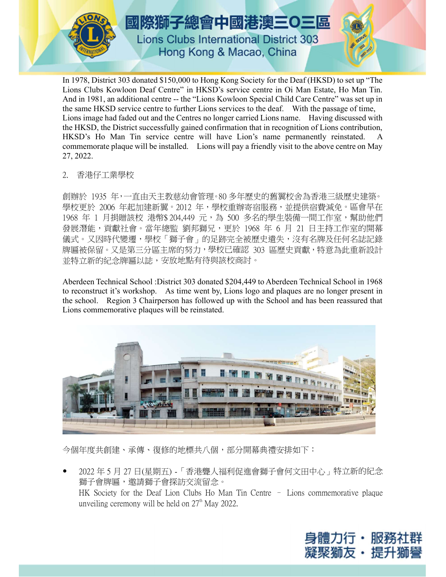

In 1978, District 303 donated \$150,000 to Hong Kong Society for the Deaf (HKSD) to set up "The Lions Clubs Kowloon Deaf Centre" in HKSD's service centre in Oi Man Estate, Ho Man Tin. And in 1981, an additional centre -- the "Lions Kowloon Special Child Care Centre" was set up in the same HKSD service centre to further Lions services to the deaf. With the passage of time, Lions image had faded out and the Centres no longer carried Lions name. Having discussed with the HKSD, the District successfully gained confirmation that in recognition of Lions contribution, HKSD's Ho Man Tin service centre will have Lion's name permanently reinstated. A commemorate plaque will be installed. Lions will pay a friendly visit to the above centre on May 27, 2022. the same HKSD service centre to further Lions services to the deaf. With the passage of time,<br>Lions image had faded out and the Centres no longer carried Lions name. Having discussed with<br>the HKSD, the District successful

## 2. 香港仔工業學校

學校更於 2006 年起加建新翼。2012 年,學校重辦寄宿服務,並提供宿費減免。區會早在 1968 年 1 月捐贈該校 港幣\$ 204,449 元,為 500 多名的學生裝備一間工作室,幫助他們 發展潛能,貢獻社會。當年總監 劉邦獅兄,更於 1968 年 6 月 21 日主持工作室的開幕 儀式。又因時代變遷,學校「獅子會」的足跡完全被歷史遺失,沒有名牌及任何名誌記錄 牌匾被保留。又是第三分區主席的努力,學校已確認 303 區歷史貢獻,特意為此重新設計 並特立新的紀念牌匾以誌,安放地點有待與該校商討。

Aberdeen Technical School :District 303 donated \$204,449 to Aberdeen Technical School in 1968 to reconstruct it's workshop. As time went by, Lions logo and plaques are no longer present in the school. Region 3 Chairperson has followed up with the School and has been reassured that Lions commemorative plaques will be reinstated.



今個年度共創建、承傳、復修的地標共八個,部分開幕典禮安排如下:

獅子會牌匾,邀請獅子會探訪交流留念。<br>HK Society for the Deaf Lion Clubs Ho Man Tin Centre – Lions commemorative plaque unveiling ceremony will be held on  $27<sup>th</sup>$  May 2022.

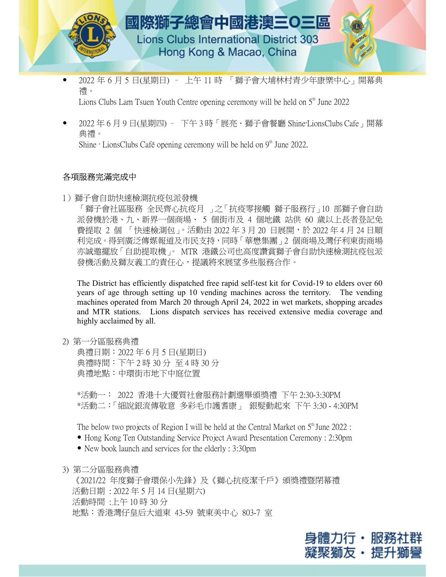

禮。

Lions Clubs Lam Tsuen Youth Centre opening ceremony will be held on  $5<sup>th</sup>$  June 2022

典禮。

Shine  $\cdot$  LionsClubs Café opening ceremony will be held on  $9<sup>th</sup>$  June 2022.

# 各項服務完滿完成中

1)獅子會自助快速檢測抗疫包派發機

「獅子會社區服務 全民齊心抗疫月 」之「抗疫零接觸 獅子服務行」10 部獅子會自助 派發機於港、九、新界一個商場、 5 個街市及 4 個地鐵 站供 60 歲以上長者登記免 Shine · LionsClubs Café opening ceremony will be held on 9<sup>th</sup> June 2022.<br>**[服務完滿完成中**<br>師子會自助快速檢測抗疫包派發機<br>「獅子會社區服務 全民齊心抗疫月 」之「抗疫零接觸 獅子服務行」10 部獅子會自助<br>派發機於港、九、新界一個商場、 5 個街市及 4 個地鐵 站供 60 歲以上長者登記免<br>費提取 2 個 「快速檢測包」。活動由 2022 年 3 月 20 利完成。得到廣泛傳媒報道及市民支持,同時「華懋集團」2個商場及灣仔利東街商場 亦誠邀擺放「自助提取機」。 MTR 港鐵公司也高度讚賞獅子會自助快速檢測抗疫包派 發機活動及獅友義工的責任心,提議將來展望多些服務合作。

The District has efficiently dispatched free rapid self-test kit for Covid-19 to elders over 60 years of age through setting up 10 vending machines across the territory. The vending machines operated from March 20 through April 24, 2022 in wet markets, shopping arcades and MTR stations. Lions dispatch services has received extensive media coverage and highly acclaimed by all.發機活動及獅友義工的責任心,提議將來展望多些服務合作<br>The District has efficiently dispatched free rapid self-test kit fo<br>years of age through setting up 10 vending machines across<br>machines operated from March 20 through April 24, 2022 in w<br>and MTR The District has efficiently dispatched free rapid self-test kit for Covid-19 to<br>years of age through setting up 10 vending machines across the territory.<br>machines operated from March 20 through April 24, 2022 in wet mark machines operated from March 20 unough April 24, 2022 in wet markets, shopping arcades<br>and MTR stations. Lions dispatch services has received extensive media coverage and<br>highly acclaimed by all.<br><br>等一分區服務典禮<br>典禮日期:2022 年 6 月

2) 第一分區服務典禮

典禮地點:中環街市地下中庭位置

and MTR stations. Licens disparent services ints received extensive incara coverage and<br>highly acclaimed by all.<br>典禮日期:2022 年 6 月 5 日(星期日)<br>典禮時間:下午 2 時 30 分 至 4 時 30 分<br><br>\*活動一: 2022 香港十大優質社會服務計劃選舉頒獎禮 下午 2:30-3:30PM<br>\*活動二:「細說銀流

The below two projects of Region I will be held at the Central Market on  $5<sup>th</sup>$  June 2022 :

- Hong Kong Ten Outstanding Service Project Award Presentation Ceremony : 2:30pm
- New book launch and services for the elderly : 3:30pm
- 3) 第二分區服務典禮

《2021/22 年度獅子會環保小先鋒》及《獅心抗疫潔千戶》頒獎禮暨閉幕禮 \*活動二:「細說銀流傳敬意 多彩毛巾護耆康」 銀髪動起<br>
The below two projects of Region I will be held at the Central Mar<br>
• Hong Kong Ten Outstanding Service Project Award Presentatior<br>
• New book launch and services for the elderly : 3:30pm<br>
第二 The below two projects of Region I will be held at the Central M<br>
• Hong Kong Ten Outstanding Service Project Award Presentati<br>
• New book launch and services for the elderly : 3:30pm<br>
第二分區服務典禮<br>
《2021/22 年度獅子會環保小先鋒》及《獅心抗疫 地點:香港灣仔皇后大道東 43-59 號東美中心 803-7 室

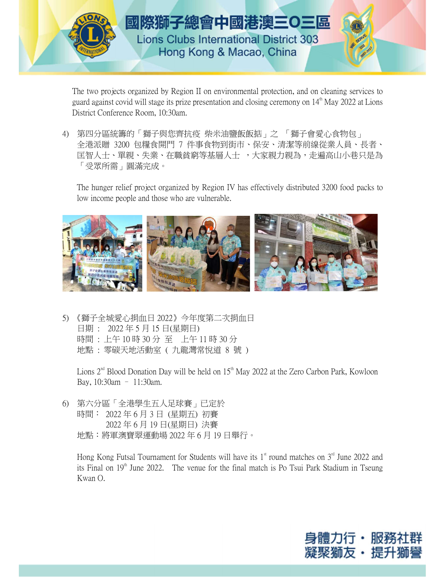

The two projects organized by Region II on environmental protection, and on cleaning services to guard against covid will stage its prize presentation and closing ceremony on  $14<sup>th</sup>$  May 2022 at Lions District Conference Room, 10:30am.

4) 第四分區統籌的「獅子與您齊抗疫 柴米油鹽飯飯掂」之 「獅子會愛心食物包」 全港派贈 3200 包糧食開門 7 件事食物到街市、保安、清潔等前線從業人員、長者、 匡智人士、單親、失業、在職貧窮等基層人士 ,大家親力親為,走遍高山小巷只是為 「受眾所需」圓滿完成。

The hunger relief project organized by Region IV has effectively distributed 3200 food packs to low income people and those who are vulnerable.



地點 : 零碳天地活動室 ( 九龍灣常悅道 8 號 )

Lions  $2<sup>nd</sup>$  Blood Donation Day will be held on  $15<sup>th</sup>$  May 2022 at the Zero Carbon Park, Kowloon Bay, 10:30am – 11:30am.

6) 第六分區「全港學生五人足球賽」已定於 i 月期 : 2022年5月15日(星期日)<br>時間 : 上午 10時30分至 上午11時30分<br>地點 : 零碳天地活動室 (九龍灣常悅道 8 號)<br>Lions 2<sup>nd</sup> Blood Donation Day will be held on 15<sup>th</sup> May 2022 at<br>Bay, 10:30am - 11:30am.<br>第六分區「全港學生五人足球賽」已定於<br>時間: 2022年6月3日(星期五)初賽<br>時間: 2022年6月3日(星期 1922 年 7 10 時 30 分<br>近期 :零碳天地活動室 (九龍灣常悅道 8 號)<br>北點 :零碳天地活動室 (九龍灣常悅道 8 號)<br><br>Lions 2<sup>™</sup> Blood Donation Day will be held on 15<sup>™</sup> May 2022 at t<br>Bay, 10:30am - 11:30am.<br>第六分區「全港學生五人足球賽」已定於<br>時間: 2022 年 6 月 3 日 (星期五) 初賽<br>12:022 年 6 月 地點 : 零碳天地活動室 ( 九龍灣常悅道 8 號 )<br>Lions 2<sup>m</sup> Blood Donation Day will be held on 15<sup>th</sup> May 2022 at the Zero Carbon Park, Kowl<br>Bay, 10:30am - 11:30am.<br>第六分區「全港學生五人足球賽」已定於<br>時間: 2022 年 6 月 3 日 (星期五) 初賽<br>2022 年 6 月 19 日(星期日) 決賽<br>地點:將軍澳

Hong Kong Futsal Tournament for Students will have its  $1<sup>st</sup>$  round matches on  $3<sup>rd</sup>$  June 2022 and its Final on  $19<sup>th</sup>$  June 2022. The venue for the final match is Po Tsui Park Stadium in Tseung Kwan O.

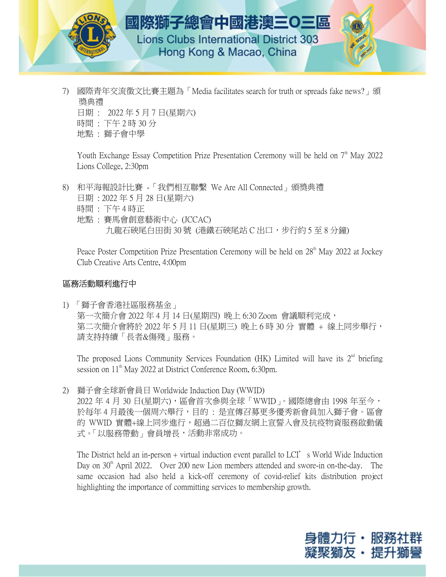

7) 國際青年交流徵文比賽主題為「Media facilitates search for truth or spreads fake news?」頒 獎典禮

地點 : 獅子會中學

Youth Exchange Essay Competition Prize Presentation Ceremony will be held on  $7<sup>th</sup>$  May 2022 Lions College, 2:30pm

8) 和平海報設計比賽 -「我們相互聯繫 We Are All Connected」頒獎典禮 「日期 : 2022 年 5 月 7 日(星期六)<br>時間 : 下午 2 時 30 分<br>地點 :獅子會中學<br>Youth Exchange Essay Competition Prize Presentation Cerem<br>Lions College, 2:30pm<br>和平海報設計比賽 - 「我們相互聯繫 We Are All Connect<br>日期 : 2022 年 5 月 28 日(星期六)<br>時間 :下午 4 時正<br>地點 :賽馬會創意藝術中 時間 : 下午 4 時正 地點 : 賽馬會創意藝術中心 (JCCAC) Youth Exchange Essay Competition Prize Presentation Ceremony will be held on 7<sup>th</sup> May 2022<br>Lions College, 2:30pm<br>和平海報設計比賽 - 「我們相互聯繫 We Are All Connected」頒獎典禮<br>日期:2022 年 5 月 28 日(星期六)<br>時間:下午 4 時正<br>地點 :賽馬會創意藝術中心(JCCAC)<br>九龍石硤尾

Peace Poster Competition Prize Presentation Ceremony will be held on  $28<sup>th</sup>$  May 2022 at Jockey Club Creative Arts Centre, 4:00pm

## 區務活動順利進行中

 1) 「獅子會香港社區服務基金」 九龍石硤尾白田街 30 號 (港鐵石硤尾站 C 出口,步行約 5 至 8 分鐘)<br>Peace Poster Competition Prize Presentation Ceremony will be held on 28<sup>\*</sup> May 2022 at Jockey<br>Club Creative Arts Centre, 4:00pm<br>**活動順利進行中**<br>第一次簡介會 2022 年 4 月 14 日(星期四) 晚上 6:30 Zoom Peace Poster Competition Prize Presentation Ceremony will be held on 28<sup>th</sup> May 2022 at Jockey<br>Club Creative Arts Centre, 4:00pm<br>**活動順利進行中**<br>第子會香港社區服務基金」<br>第一次簡介會 2022 年 4 月 14 日(星期四) 晚上 6:30 Zoom 會議順利完成,<br>第二次簡介會將於 2022 年 5 月 請支持持續「長者&傷殘」服務。 1) 「獅子會香港社區服務基金」<br>第一次簡介會 2022 年 4 月 14 日(星期四) 晚上 6:30 Zoom 會議<br>第二次簡介會將於 2022 年 5 月 11 日(星期三) 晚上 6 時 30 分<br>請支持持續「長者&傷殘」服務。<br>The proposed Lions Community Services Foundation (HK) Limite<br>session on 11<sup>™</sup> May 2022 at District Co

The proposed Lions Community Services Foundation (HK) Limited will have its  $2<sup>nd</sup>$  briefing session on 11<sup>th</sup> May 2022 at District Conference Room, 6:30pm.

第一次簡介會 2022 年 4 月 14 日(星期四) 晚上 6:30 Zoom 會議順利完成,<br>第二次簡介會將於 2022 年 5 月 11 日(星期三) 晚上 6 時 30 分 實體 + 線上同步舉行,<br>請支持持續「長者&傷殘」服務。<br>The proposed Lions Community Services Foundation (HK) Limited will have its 2<sup>nd</sup> briefing<br>session o ,第二次簡介會將於 2022 年 5 月 11 日(星期三) 晚上 6 時 30 分 實體 + 線上同步舉行,<br>請支持持續「長者&傷殘」服務。<br>請支持持續「長者&傷殘」服務。<br>Session on 11<sup>™</sup> May 2022 at District Conference Room, 6:30pm.<br>Session on 11™ May 2022 at District Conference Room, 6:30pm.<br>2022 年 4 請支持持續「長者&傷殘」服務。<br>The proposed Lions Community Services Foundation (HK) Limited will have its 2<sup>nd</sup> briefing<br>session on 11<sup>th</sup> May 2022 at District Conference Room, 6:30pm.<br>2022 年 4 月 30 日(星期六),區會首次參與全球「WWID」。國際總會由 1998 年至今 式。「以服務帶動」會員增長,活動非常成功。

The District held an in-person + virtual induction event parallel to LCI's World Wide Induction Day on  $30<sup>th</sup>$  April 2022. Over 200 new Lion members attended and swore-in on-the-day. The same occasion had also held a kick-off ceremony of covid-relief kits distribution project highlighting the importance of committing services to membership growth.

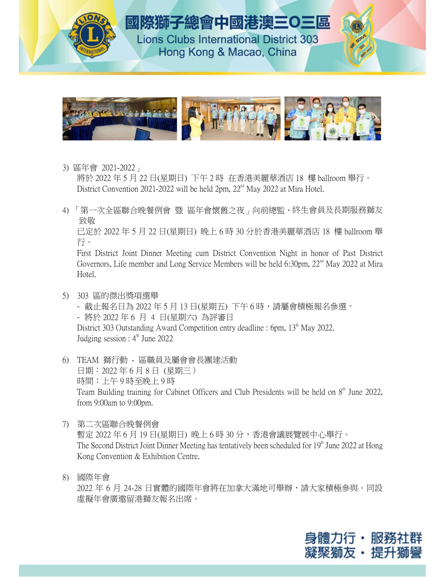

3) 區年會 2021-2022」

District Convention 2021-2022 will be held 2pm, 22<sup>nd</sup> May 2022 at Mira Hotel.

4) 「第一次全區聯合晚餐例會 暨 區年會懷舊之夜」向前總監、終生會員及長期服務獅友 致敬 <del>『全社会』(『インストンの会社』)の会社会の2022</del><br>- 新於 2022 年 5 月 22 日(星期日) 下午 2 時 在香港美麗華酒店 18 樓 ballroom 舉行。<br>District Convention 2021-2022 will be held 2pm, 22<sup>m</sup> May 2022 at Mira Hotel.<br>「第一次全區聯合晚餐例會 暨 區年會懷舊之夜」向前總監、終生會員及長期服務獅友<br>致敬<br>First Dis 行。 - 致放<br><br><br>豆定於 2022 年 5 月 22 日(星期日) 晚上 6 時 30 分於香港美麗華酒店 18 樓 ballroom 舉行。<br>First District Joint Dinner Meeting cum District Convention Night in honor of Past District<br>Governors, Life member and Long Service Members will be hel

First District Joint Dinner Meeting cum District Convention Night in honor of Past District Governors, Life member and Long Service Members will be held 6:30pm,  $22<sup>nd</sup>$  May 2022 at Mira Hotel.

- 5) 303 區的傑出獎項選舉 三定於 2022 年 5 月 22 日(星期日) 晚上 6 時 30 分於<br>行。<br>First District Joint Dinner Meeting cum District Convent<br>Governors, Life member and Long Service Members will be<br>Hotel.<br>303 區的傑出獎項選舉<br>- 截止報名日為 2022 年 5 月 13 日(星期五) 下午 6 時<br>- 將於 2022 District 303 Outstanding Award Competition entry deadline : 6pm,  $13<sup>th</sup>$  May 2022. Judging session :  $4<sup>th</sup>$  June 2022 ------<br>303 區的傑出獎項選舉<br>- 截止報名日為 2022 年 5 月 13 日(星期五) 下午 6 時,請屬會積<sup>相</sup><br>- 將於 2022 年 6 月 4 日(星期六) 為評審日<br>District 303 Outstanding Award Competition entry deadline : 6pm, 13<sup>th</sup> Ma<br>Judging session : 4<sup>th</sup> June 2022<br>TEAM 獅行動 - 區職員及屬會 303 區的傑出獎項選舉<br>- 截止報名日為 2022 年 5 月 13 日(星期五) 下午 6 時,請屬<br>- 將於 2022 年 6 月 4 日(星期六) 為評審日<br>District 303 Outstanding Award Competition entry deadline : 6pm,<br>Judging session : 4<sup>n</sup> June 2022<br>TEAM 獅行動 - 區職員及屬會會長團建活動<br>日期:2022 年 6 月 8
- 6) TEAM 獅行動 區職員及屬會會長團建活動 Team Building training for Cabinet Officers and Club Presidents will be held on  $8<sup>th</sup>$  June 2022, from 9:00am to 9:00pm. " 2 2<br>TEAM 獅行動 - 區職員及屬會會長團建活動<br>日期:2022 年 6 月 8 日(星期三)<br>時間:上午 9 時至晩上 9 時<br>Team Building training for Cabinet Officers and Club Presidents will be held on 8<sup>®</sup> June 2022,<br>from 9:00am to 9:00pm.<br>第二次區聯合晩餐例會<br>暫定 2022 年 6 月 19 日(星期
- 7) 第二次區聯合晚餐例會 The Second District Joint Dinner Meeting has tentatively been scheduled for  $19<sup>th</sup>$  June 2022 at Hong Kong Convention & Exhibition Centre. from 9:00am to 9:00pm.<br>第二次區聯合晚餐例會<br>暫定 2022 年 6 月 19 日(星期日) 晚上 6 時 30 分,香港會議展覽展中心舉行。<br>The Second District Joint Dinner Meeting has tentatively been scheduled for 19® June 2022 at Hong<br>Kong Convention & Exhibition Centre.<br>國際年
- 8) 國際年會 虛擬年會廣邀留港獅友報名出席。